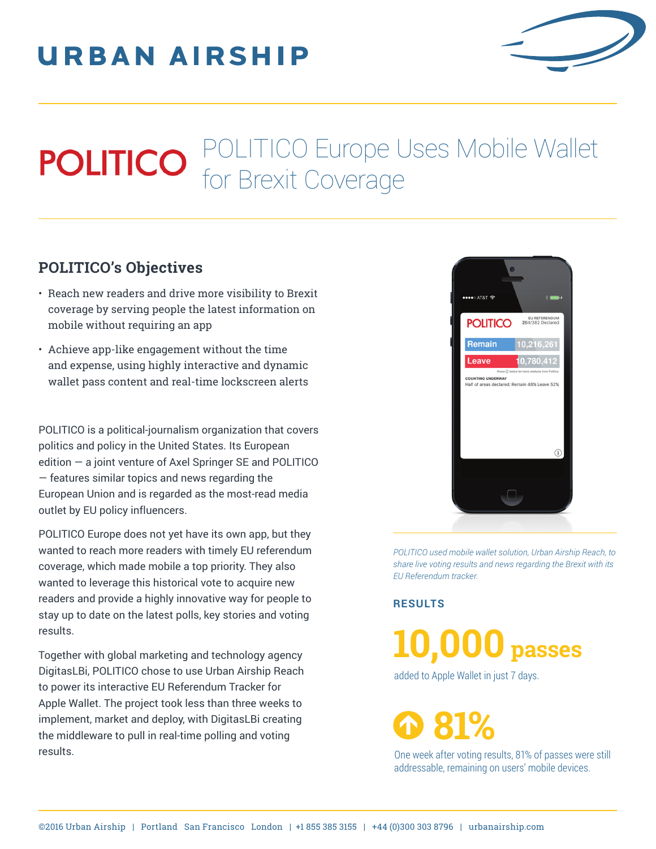## **URBAN AIRSHIP**



## POLITICO Europe Uses Mobile Wallet for Brexit Coverage

## **POLITICO's Objectives**

- Reach new readers and drive more visibility to Brexit coverage by serving people the latest information on mobile without requiring an app
- Achieve app-like engagement without the time and expense, using highly interactive and dynamic wallet pass content and real-time lockscreen alerts

POLITICO is a political-journalism organization that covers politics and policy in the United States. Its European edition — a joint venture of Axel Springer SE and POLITICO — features similar topics and news regarding the European Union and is regarded as the most-read media outlet by EU policy influencers.

POLITICO Europe does not yet have its own app, but they wanted to reach more readers with timely EU referendum coverage, which made mobile a top priority. They also wanted to leverage this historical vote to acquire new readers and provide a highly innovative way for people to stay up to date on the latest polls, key stories and voting results.

Together with global marketing and technology agency DigitasLBi, POLITICO chose to use Urban Airship Reach to power its interactive EU Referendum Tracker for Apple Wallet. The project took less than three weeks to implement, market and deploy, with DigitasLBi creating the middleware to pull in real-time polling and voting results.



*POLITICO used mobile wallet solution, Urban Airship Reach, to share live voting results and news regarding the Brexit with its EU Referendum tracker.*

**RESULTS**

**10,000 passes**

added to Apple Wallet in just 7 days.

**81%**

One week after voting results, 81% of passes were still addressable, remaining on users' mobile devices.